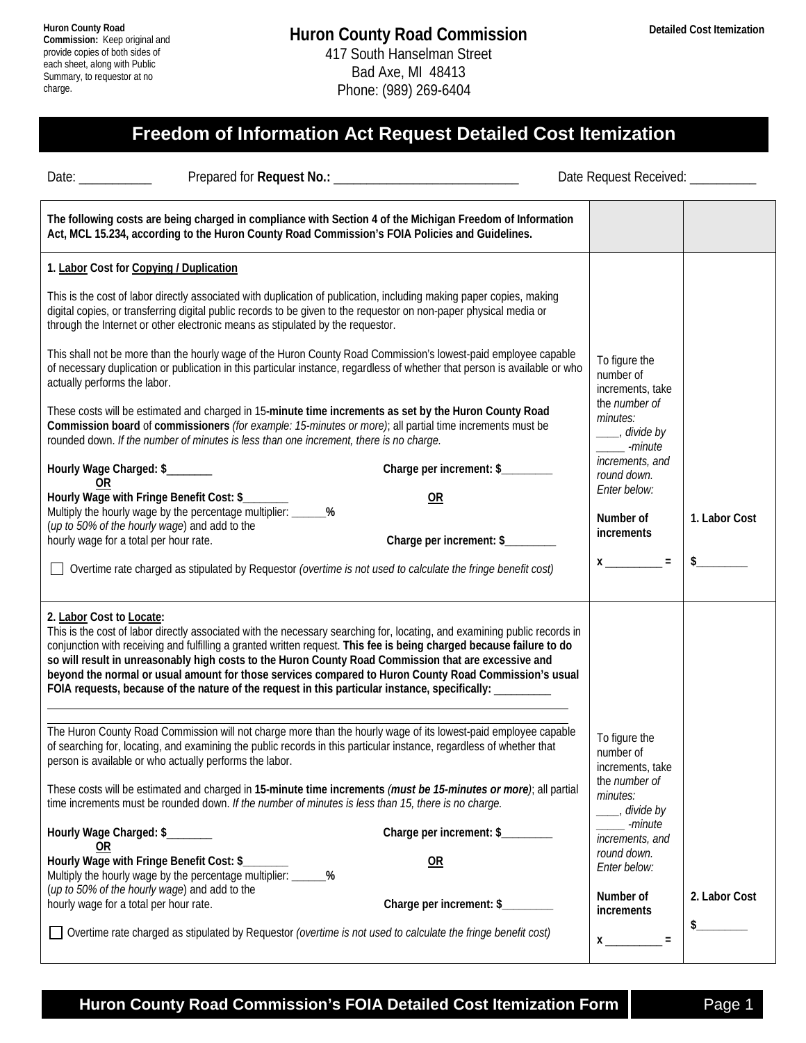## **Freedom of Information Act Request Detailed Cost Itemization**

| Date: $\frac{1}{2}$<br>Prepared for Request No.:                                                                                                                                                                                                                                                                                                                                                                                                                                                                                                                                                          | the control of the control of the control of | Date Request Received:                                                                                         |               |
|-----------------------------------------------------------------------------------------------------------------------------------------------------------------------------------------------------------------------------------------------------------------------------------------------------------------------------------------------------------------------------------------------------------------------------------------------------------------------------------------------------------------------------------------------------------------------------------------------------------|----------------------------------------------|----------------------------------------------------------------------------------------------------------------|---------------|
| The following costs are being charged in compliance with Section 4 of the Michigan Freedom of Information<br>Act, MCL 15.234, according to the Huron County Road Commission's FOIA Policies and Guidelines.                                                                                                                                                                                                                                                                                                                                                                                               |                                              |                                                                                                                |               |
| 1. Labor Cost for Copying / Duplication                                                                                                                                                                                                                                                                                                                                                                                                                                                                                                                                                                   |                                              |                                                                                                                |               |
| This is the cost of labor directly associated with duplication of publication, including making paper copies, making<br>digital copies, or transferring digital public records to be given to the requestor on non-paper physical media or<br>through the Internet or other electronic means as stipulated by the requestor.                                                                                                                                                                                                                                                                              |                                              |                                                                                                                |               |
| This shall not be more than the hourly wage of the Huron County Road Commission's lowest-paid employee capable<br>of necessary duplication or publication in this particular instance, regardless of whether that person is available or who<br>actually performs the labor.<br>These costs will be estimated and charged in 15-minute time increments as set by the Huron County Road<br>Commission board of commissioners (for example: 15-minutes or more); all partial time increments must be<br>rounded down. If the number of minutes is less than one increment, there is no charge.              |                                              | To figure the<br>number of<br>increments, take<br>the number of<br>minutes:<br>____, divide by<br>____ -minute |               |
|                                                                                                                                                                                                                                                                                                                                                                                                                                                                                                                                                                                                           |                                              |                                                                                                                |               |
| Hourly Wage Charged: \$<br>0R                                                                                                                                                                                                                                                                                                                                                                                                                                                                                                                                                                             | Charge per increment: \$                     | increments, and<br>round down.                                                                                 |               |
| Hourly Wage with Fringe Benefit Cost: \$_<br>Multiply the hourly wage by the percentage multiplier: _______%                                                                                                                                                                                                                                                                                                                                                                                                                                                                                              | OR                                           | Enter below:                                                                                                   |               |
| (up to 50% of the hourly wage) and add to the                                                                                                                                                                                                                                                                                                                                                                                                                                                                                                                                                             |                                              | Number of<br>increments                                                                                        | 1. Labor Cost |
| hourly wage for a total per hour rate.                                                                                                                                                                                                                                                                                                                                                                                                                                                                                                                                                                    | Charge per increment: \$                     | $x \underline{\hspace{1cm}} =$                                                                                 | s             |
| Overtime rate charged as stipulated by Requestor (overtime is not used to calculate the fringe benefit cost)                                                                                                                                                                                                                                                                                                                                                                                                                                                                                              |                                              |                                                                                                                |               |
| 2. Labor Cost to Locate:<br>This is the cost of labor directly associated with the necessary searching for, locating, and examining public records in<br>conjunction with receiving and fulfilling a granted written request. This fee is being charged because failure to do<br>so will result in unreasonably high costs to the Huron County Road Commission that are excessive and<br>beyond the normal or usual amount for those services compared to Huron County Road Commission's usual<br>FOIA requests, because of the nature of the request in this particular instance, specifically: ________ |                                              |                                                                                                                |               |
| The Huron County Road Commission will not charge more than the hourly wage of its lowest-paid employee capable<br>of searching for, locating, and examining the public records in this particular instance, regardless of whether that<br>person is available or who actually performs the labor.                                                                                                                                                                                                                                                                                                         |                                              | To figure the<br>number of<br>increments, take                                                                 |               |
| These costs will be estimated and charged in 15-minute time increments (must be 15-minutes or more); all partial<br>time increments must be rounded down. If the number of minutes is less than 15, there is no charge.                                                                                                                                                                                                                                                                                                                                                                                   |                                              | the number of<br>minutes:<br>____, divide by                                                                   |               |
| Hourly Wage Charged: \$<br>$\overline{\text{OR}}$                                                                                                                                                                                                                                                                                                                                                                                                                                                                                                                                                         | Charge per increment: \$                     | -minute<br>increments, and                                                                                     |               |
| Hourly Wage with Fringe Benefit Cost: \$_<br>Multiply the hourly wage by the percentage multiplier: _____<br>(up to 50% of the hourly wage) and add to the                                                                                                                                                                                                                                                                                                                                                                                                                                                | OR                                           | round down.<br>Enter below:                                                                                    |               |
| hourly wage for a total per hour rate.                                                                                                                                                                                                                                                                                                                                                                                                                                                                                                                                                                    | Charge per increment: \$                     | Number of<br>increments                                                                                        | 2. Labor Cost |
| Overtime rate charged as stipulated by Requestor (overtime is not used to calculate the fringe benefit cost)                                                                                                                                                                                                                                                                                                                                                                                                                                                                                              |                                              | $x \overline{\phantom{a}}$<br>$\equiv$                                                                         | $\frac{1}{2}$ |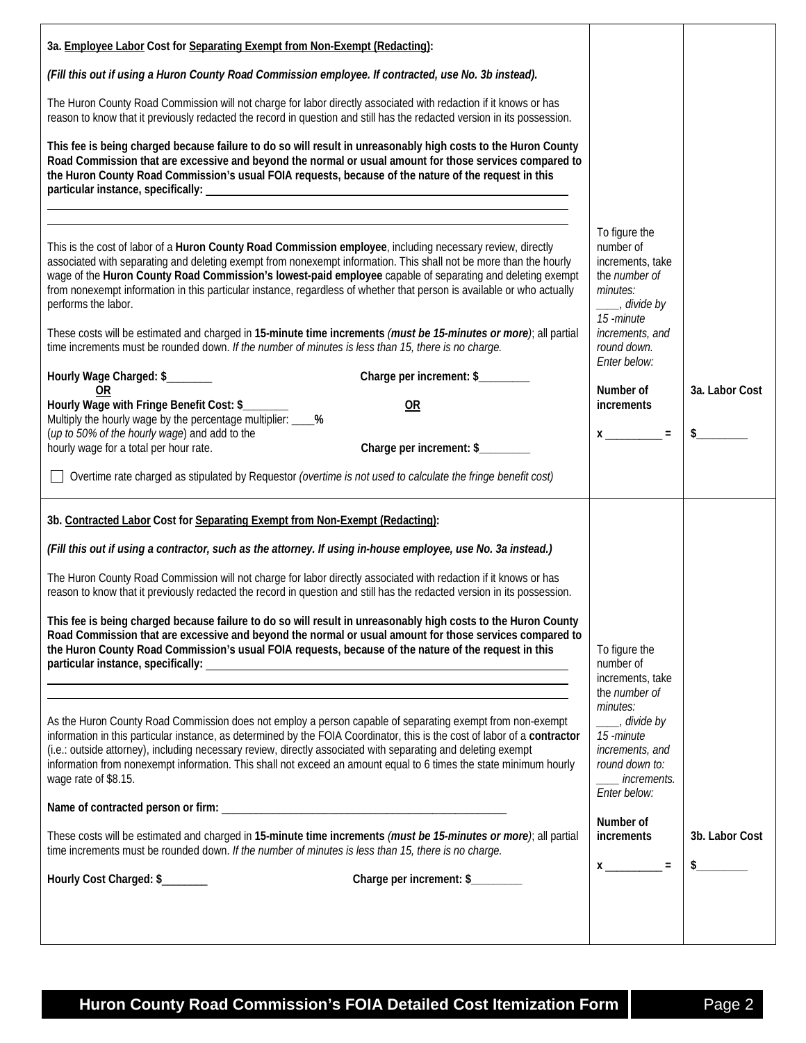| 3a. Employee Labor Cost for Separating Exempt from Non-Exempt (Redacting):                                                                                                                                                                                                                                                                                                                                                                                                                                                                                                                                                                                                                                                                                                                                                                            |                                                                                                                                                                                           |                |
|-------------------------------------------------------------------------------------------------------------------------------------------------------------------------------------------------------------------------------------------------------------------------------------------------------------------------------------------------------------------------------------------------------------------------------------------------------------------------------------------------------------------------------------------------------------------------------------------------------------------------------------------------------------------------------------------------------------------------------------------------------------------------------------------------------------------------------------------------------|-------------------------------------------------------------------------------------------------------------------------------------------------------------------------------------------|----------------|
| (Fill this out if using a Huron County Road Commission employee. If contracted, use No. 3b instead).                                                                                                                                                                                                                                                                                                                                                                                                                                                                                                                                                                                                                                                                                                                                                  |                                                                                                                                                                                           |                |
| The Huron County Road Commission will not charge for labor directly associated with redaction if it knows or has<br>reason to know that it previously redacted the record in question and still has the redacted version in its possession.                                                                                                                                                                                                                                                                                                                                                                                                                                                                                                                                                                                                           |                                                                                                                                                                                           |                |
| This fee is being charged because failure to do so will result in unreasonably high costs to the Huron County<br>Road Commission that are excessive and beyond the normal or usual amount for those services compared to<br>the Huron County Road Commission's usual FOIA requests, because of the nature of the request in this                                                                                                                                                                                                                                                                                                                                                                                                                                                                                                                      |                                                                                                                                                                                           |                |
| This is the cost of labor of a Huron County Road Commission employee, including necessary review, directly<br>associated with separating and deleting exempt from nonexempt information. This shall not be more than the hourly<br>wage of the Huron County Road Commission's lowest-paid employee capable of separating and deleting exempt<br>from nonexempt information in this particular instance, regardless of whether that person is available or who actually<br>performs the labor.<br>These costs will be estimated and charged in 15-minute time increments (must be 15-minutes or more); all partial<br>time increments must be rounded down. If the number of minutes is less than 15, there is no charge.<br>Hourly Wage Charged: \$<br>Charge per increment: \$<br>0R<br>Hourly Wage with Fringe Benefit Cost: \$_______<br><b>OR</b> | To figure the<br>number of<br>increments, take<br>the number of<br>minutes:<br>____, divide by<br>15 -minute<br>increments, and<br>round down.<br>Enter below:<br>Number of<br>increments | 3a. Labor Cost |
| Multiply the hourly wage by the percentage multiplier: ____%<br>(up to 50% of the hourly wage) and add to the                                                                                                                                                                                                                                                                                                                                                                                                                                                                                                                                                                                                                                                                                                                                         |                                                                                                                                                                                           |                |
| Charge per increment: \$<br>hourly wage for a total per hour rate.                                                                                                                                                                                                                                                                                                                                                                                                                                                                                                                                                                                                                                                                                                                                                                                    |                                                                                                                                                                                           |                |
| □ Overtime rate charged as stipulated by Requestor (overtime is not used to calculate the fringe benefit cost)                                                                                                                                                                                                                                                                                                                                                                                                                                                                                                                                                                                                                                                                                                                                        |                                                                                                                                                                                           |                |
| 3b. Contracted Labor Cost for Separating Exempt from Non-Exempt (Redacting):<br>(Fill this out if using a contractor, such as the attorney. If using in-house employee, use No. 3a instead.)<br>The Huron County Road Commission will not charge for labor directly associated with redaction if it knows or has<br>reason to know that it previously redacted the record in question and still has the redacted version in its possession.<br>This fee is being charged because failure to do so will result in unreasonably high costs to the Huron County<br>Road Commission that are excessive and beyond the normal or usual amount for those services compared to<br>the Huron County Road Commission's usual FOIA requests, because of the nature of the request in this                                                                       | To figure the<br>number of<br>increments, take<br>the number of<br>minutes:                                                                                                               |                |
| As the Huron County Road Commission does not employ a person capable of separating exempt from non-exempt<br>information in this particular instance, as determined by the FOIA Coordinator, this is the cost of labor of a contractor<br>(i.e.: outside attorney), including necessary review, directly associated with separating and deleting exempt<br>information from nonexempt information. This shall not exceed an amount equal to 6 times the state minimum hourly<br>wage rate of \$8.15.<br>These costs will be estimated and charged in 15-minute time increments (must be 15-minutes or more); all partial                                                                                                                                                                                                                              | ___, divide by<br>15 - minute<br>increments, and<br>round down to:<br><i>increments.</i><br>Enter below:<br>Number of<br>increments                                                       | 3b. Labor Cost |
| time increments must be rounded down. If the number of minutes is less than 15, there is no charge.                                                                                                                                                                                                                                                                                                                                                                                                                                                                                                                                                                                                                                                                                                                                                   | $x \overline{\phantom{a}} =$                                                                                                                                                              |                |
| Charge per increment: \$________<br>Hourly Cost Charged: \$                                                                                                                                                                                                                                                                                                                                                                                                                                                                                                                                                                                                                                                                                                                                                                                           |                                                                                                                                                                                           |                |
|                                                                                                                                                                                                                                                                                                                                                                                                                                                                                                                                                                                                                                                                                                                                                                                                                                                       |                                                                                                                                                                                           |                |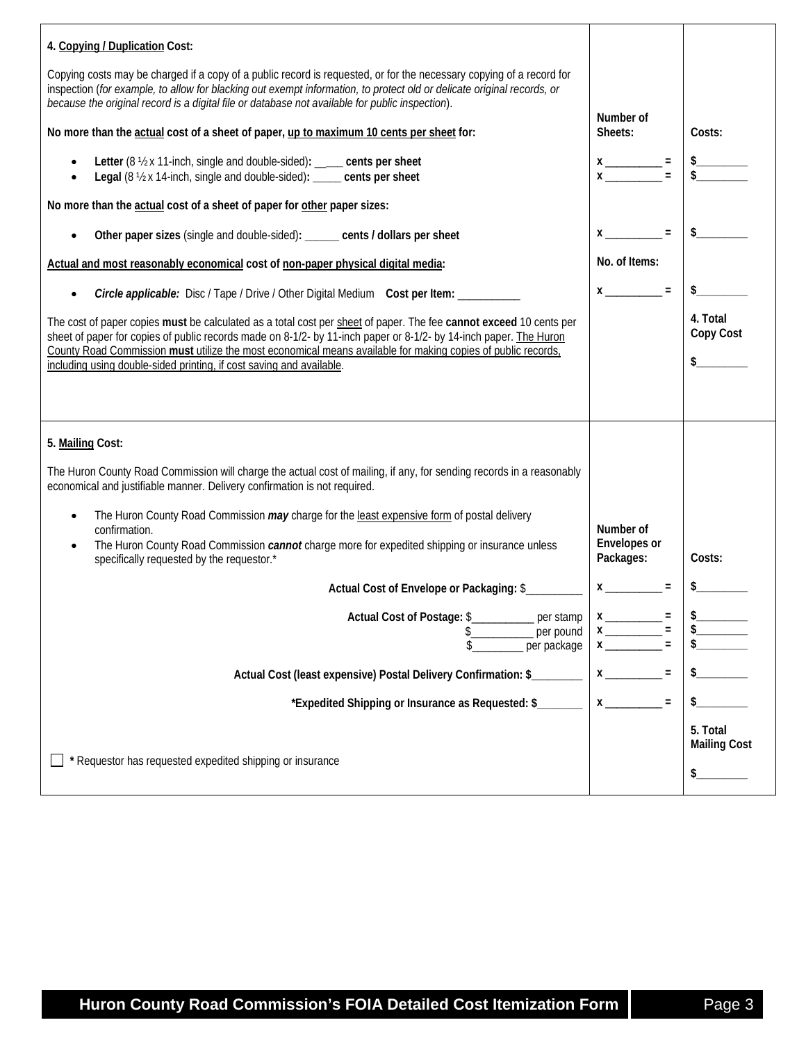| 4. Copying / Duplication Cost:                                                                                                                                                                                                                                                                                                                    |                                                                                                                                                                                                                                                                                                                                                                                 |                                 |
|---------------------------------------------------------------------------------------------------------------------------------------------------------------------------------------------------------------------------------------------------------------------------------------------------------------------------------------------------|---------------------------------------------------------------------------------------------------------------------------------------------------------------------------------------------------------------------------------------------------------------------------------------------------------------------------------------------------------------------------------|---------------------------------|
| Copying costs may be charged if a copy of a public record is requested, or for the necessary copying of a record for<br>inspection (for example, to allow for blacking out exempt information, to protect old or delicate original records, or<br>because the original record is a digital file or database not available for public inspection). |                                                                                                                                                                                                                                                                                                                                                                                 |                                 |
| No more than the actual cost of a sheet of paper, up to maximum 10 cents per sheet for:                                                                                                                                                                                                                                                           | Number of<br>Sheets:                                                                                                                                                                                                                                                                                                                                                            | Costs:                          |
| Letter (8 1/2 x 11-inch, single and double-sided): ___ cents per sheet<br>Legal (8 1/2 x 14-inch, single and double-sided): _____ cents per sheet                                                                                                                                                                                                 | $x \x $ = $\frac{1}{2}$ = $\frac{5}{2}$                                                                                                                                                                                                                                                                                                                                         |                                 |
| No more than the actual cost of a sheet of paper for other paper sizes:                                                                                                                                                                                                                                                                           |                                                                                                                                                                                                                                                                                                                                                                                 |                                 |
| Other paper sizes (single and double-sided): ______ cents / dollars per sheet                                                                                                                                                                                                                                                                     | $x \overline{\phantom{a}} =$                                                                                                                                                                                                                                                                                                                                                    | $\sim$                          |
| Actual and most reasonably economical cost of non-paper physical digital media:                                                                                                                                                                                                                                                                   | No. of Items:                                                                                                                                                                                                                                                                                                                                                                   |                                 |
| Circle applicable: Disc / Tape / Drive / Other Digital Medium Cost per Item: ________<br>$\bullet$                                                                                                                                                                                                                                                | $x \overline{\phantom{a}} =$                                                                                                                                                                                                                                                                                                                                                    |                                 |
| The cost of paper copies must be calculated as a total cost per sheet of paper. The fee cannot exceed 10 cents per<br>sheet of paper for copies of public records made on 8-1/2- by 11-inch paper or 8-1/2- by 14-inch paper. The Huron                                                                                                           |                                                                                                                                                                                                                                                                                                                                                                                 | 4. Total<br>Copy Cost           |
| County Road Commission must utilize the most economical means available for making copies of public records,<br>including using double-sided printing, if cost saving and available.                                                                                                                                                              |                                                                                                                                                                                                                                                                                                                                                                                 | $\frac{1}{2}$                   |
|                                                                                                                                                                                                                                                                                                                                                   |                                                                                                                                                                                                                                                                                                                                                                                 |                                 |
| 5. Mailing Cost:<br>The Huron County Road Commission will charge the actual cost of mailing, if any, for sending records in a reasonably                                                                                                                                                                                                          |                                                                                                                                                                                                                                                                                                                                                                                 |                                 |
| economical and justifiable manner. Delivery confirmation is not required.                                                                                                                                                                                                                                                                         |                                                                                                                                                                                                                                                                                                                                                                                 |                                 |
| The Huron County Road Commission may charge for the least expensive form of postal delivery<br>$\bullet$<br>confirmation.<br>The Huron County Road Commission cannot charge more for expedited shipping or insurance unless<br>$\bullet$                                                                                                          | Number of<br>Envelopes or<br>Packages:                                                                                                                                                                                                                                                                                                                                          | Costs:                          |
| specifically requested by the requestor.*                                                                                                                                                                                                                                                                                                         | $x \overline{\phantom{a}} =$                                                                                                                                                                                                                                                                                                                                                    |                                 |
| Actual Cost of Envelope or Packaging: \$                                                                                                                                                                                                                                                                                                          |                                                                                                                                                                                                                                                                                                                                                                                 |                                 |
| Actual Cost of Postage: \$__________ per stamp<br>per pound<br>per package<br>S                                                                                                                                                                                                                                                                   | $x \overline{\phantom{a}}$<br>$x \overline{y}$<br>$\mathbf{x}$ and $\mathbf{x}$ and $\mathbf{x}$ and $\mathbf{x}$ and $\mathbf{x}$ and $\mathbf{x}$ and $\mathbf{x}$ and $\mathbf{x}$ and $\mathbf{x}$ and $\mathbf{x}$ and $\mathbf{x}$ and $\mathbf{x}$ and $\mathbf{x}$ and $\mathbf{x}$ and $\mathbf{x}$ and $\mathbf{x}$ and $\mathbf{x}$ and $\mathbf{x}$ and $\mathbf{x$ |                                 |
| Actual Cost (least expensive) Postal Delivery Confirmation: \$                                                                                                                                                                                                                                                                                    |                                                                                                                                                                                                                                                                                                                                                                                 |                                 |
| *Expedited Shipping or Insurance as Requested: \$                                                                                                                                                                                                                                                                                                 | $\equiv$                                                                                                                                                                                                                                                                                                                                                                        |                                 |
|                                                                                                                                                                                                                                                                                                                                                   |                                                                                                                                                                                                                                                                                                                                                                                 | 5. Total<br><b>Mailing Cost</b> |
| * Requestor has requested expedited shipping or insurance                                                                                                                                                                                                                                                                                         |                                                                                                                                                                                                                                                                                                                                                                                 |                                 |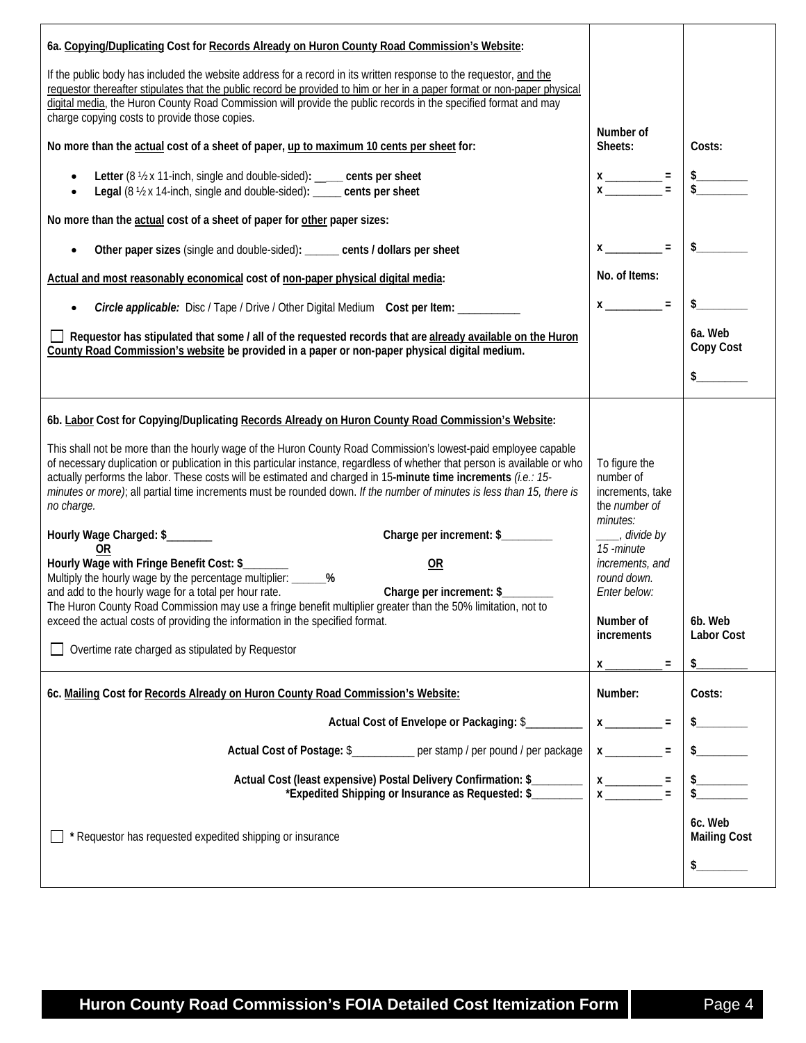| 6a. Copying/Duplicating Cost for Records Already on Huron County Road Commission's Website:<br>If the public body has included the website address for a record in its written response to the requestor, and the<br>requestor thereafter stipulates that the public record be provided to him or her in a paper format or non-paper physical<br>digital media, the Huron County Road Commission will provide the public records in the specified format and may<br>charge copying costs to provide those copies.                                                                                                                                                                                                                                                                                                                                                                                                                                                                                                                                                                                                                      | Number of                                                                                                                                                                                                         |                                     |
|----------------------------------------------------------------------------------------------------------------------------------------------------------------------------------------------------------------------------------------------------------------------------------------------------------------------------------------------------------------------------------------------------------------------------------------------------------------------------------------------------------------------------------------------------------------------------------------------------------------------------------------------------------------------------------------------------------------------------------------------------------------------------------------------------------------------------------------------------------------------------------------------------------------------------------------------------------------------------------------------------------------------------------------------------------------------------------------------------------------------------------------|-------------------------------------------------------------------------------------------------------------------------------------------------------------------------------------------------------------------|-------------------------------------|
| No more than the actual cost of a sheet of paper, up to maximum 10 cents per sheet for:                                                                                                                                                                                                                                                                                                                                                                                                                                                                                                                                                                                                                                                                                                                                                                                                                                                                                                                                                                                                                                                |                                                                                                                                                                                                                   | Costs:                              |
| Letter (8 1/2 x 11-inch, single and double-sided): ____ cents per sheet<br>$\bullet$<br>Legal (8 1/2 x 14-inch, single and double-sided): _____ cents per sheet                                                                                                                                                                                                                                                                                                                                                                                                                                                                                                                                                                                                                                                                                                                                                                                                                                                                                                                                                                        |                                                                                                                                                                                                                   |                                     |
| No more than the actual cost of a sheet of paper for other paper sizes:                                                                                                                                                                                                                                                                                                                                                                                                                                                                                                                                                                                                                                                                                                                                                                                                                                                                                                                                                                                                                                                                |                                                                                                                                                                                                                   |                                     |
| Other paper sizes (single and double-sided): _____ cents / dollars per sheet<br>$\bullet$                                                                                                                                                                                                                                                                                                                                                                                                                                                                                                                                                                                                                                                                                                                                                                                                                                                                                                                                                                                                                                              | $x \overline{\phantom{a}} =$                                                                                                                                                                                      | $\frac{1}{2}$                       |
| Actual and most reasonably economical cost of non-paper physical digital media:                                                                                                                                                                                                                                                                                                                                                                                                                                                                                                                                                                                                                                                                                                                                                                                                                                                                                                                                                                                                                                                        | No. of Items:                                                                                                                                                                                                     |                                     |
| Circle applicable: Disc / Tape / Drive / Other Digital Medium Cost per Item: _________                                                                                                                                                                                                                                                                                                                                                                                                                                                                                                                                                                                                                                                                                                                                                                                                                                                                                                                                                                                                                                                 | $X \sim 1$                                                                                                                                                                                                        |                                     |
| $\Box$ Requestor has stipulated that some / all of the requested records that are already available on the Huron<br>County Road Commission's website be provided in a paper or non-paper physical digital medium.                                                                                                                                                                                                                                                                                                                                                                                                                                                                                                                                                                                                                                                                                                                                                                                                                                                                                                                      |                                                                                                                                                                                                                   | 6a. Web<br>Copy Cost                |
|                                                                                                                                                                                                                                                                                                                                                                                                                                                                                                                                                                                                                                                                                                                                                                                                                                                                                                                                                                                                                                                                                                                                        |                                                                                                                                                                                                                   | s                                   |
| 6b. Labor Cost for Copying/Duplicating Records Already on Huron County Road Commission's Website:<br>This shall not be more than the hourly wage of the Huron County Road Commission's lowest-paid employee capable<br>of necessary duplication or publication in this particular instance, regardless of whether that person is available or who<br>actually performs the labor. These costs will be estimated and charged in 15-minute time increments (i.e.: 15-<br>minutes or more); all partial time increments must be rounded down. If the number of minutes is less than 15, there is<br>no charge.<br>Charge per increment: \$<br>Hourly Wage Charged: \$<br>0R<br>Hourly Wage with Fringe Benefit Cost: \$<br>OR<br>Multiply the hourly wage by the percentage multiplier: ______%<br>Charge per increment: \$<br>and add to the hourly wage for a total per hour rate.<br>The Huron County Road Commission may use a fringe benefit multiplier greater than the 50% limitation, not to<br>exceed the actual costs of providing the information in the specified format.<br>Overtime rate charged as stipulated by Requestor | To figure the<br>number of<br>increments, take<br>the number of<br>minutes:<br>____, divide by<br>15 - minute<br>increments, and<br>round down.<br>Enter below:<br>Number of<br>increments<br>$x_{-}$<br>$\equiv$ | 6b. Web<br><b>Labor Cost</b><br>\$_ |
| 6c. Mailing Cost for Records Already on Huron County Road Commission's Website:                                                                                                                                                                                                                                                                                                                                                                                                                                                                                                                                                                                                                                                                                                                                                                                                                                                                                                                                                                                                                                                        | Number:                                                                                                                                                                                                           | Costs:                              |
| Actual Cost of Envelope or Packaging: \$                                                                                                                                                                                                                                                                                                                                                                                                                                                                                                                                                                                                                                                                                                                                                                                                                                                                                                                                                                                                                                                                                               | $x \underline{\hspace{1cm}} =$                                                                                                                                                                                    |                                     |
| Actual Cost of Postage: \$____________ per stamp / per pound / per package                                                                                                                                                                                                                                                                                                                                                                                                                                                                                                                                                                                                                                                                                                                                                                                                                                                                                                                                                                                                                                                             | $x \overline{\phantom{a}} =$                                                                                                                                                                                      |                                     |
| Actual Cost (least expensive) Postal Delivery Confirmation: \$<br>*Expedited Shipping or Insurance as Requested: \$                                                                                                                                                                                                                                                                                                                                                                                                                                                                                                                                                                                                                                                                                                                                                                                                                                                                                                                                                                                                                    | $x \overline{\phantom{a}} =$<br>$\mathbf{x}$<br>$\equiv$                                                                                                                                                          |                                     |
| Requestor has requested expedited shipping or insurance                                                                                                                                                                                                                                                                                                                                                                                                                                                                                                                                                                                                                                                                                                                                                                                                                                                                                                                                                                                                                                                                                |                                                                                                                                                                                                                   | 6c. Web<br><b>Mailing Cost</b>      |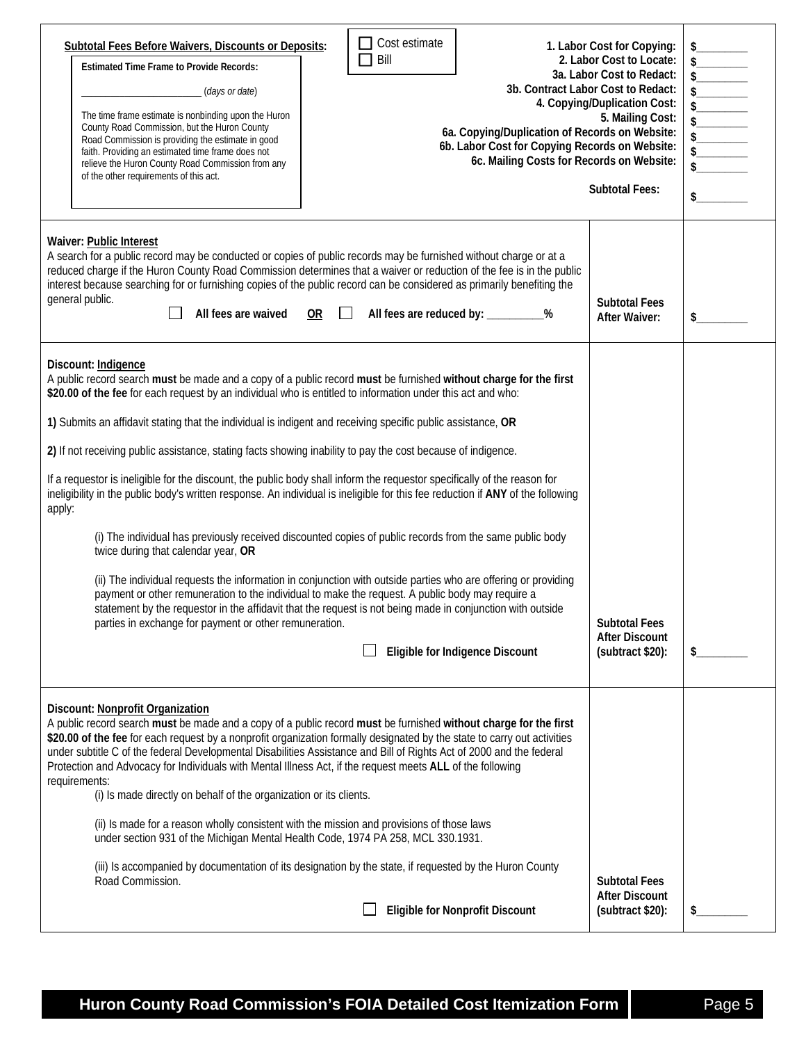| <b>Subtotal Fees Before Waivers, Discounts or Deposits:</b><br><b>Estimated Time Frame to Provide Records:</b><br>(days or date)<br>The time frame estimate is nonbinding upon the Huron<br>County Road Commission, but the Huron County<br>Road Commission is providing the estimate in good<br>faith. Providing an estimated time frame does not<br>relieve the Huron County Road Commission from any<br>of the other requirements of this act.                                                                                                                                                         | Cost estimate<br>$\Box$ Bill<br>6a. Copying/Duplication of Records on Website:<br>6b. Labor Cost for Copying Records on Website:<br>6c. Mailing Costs for Records on Website:                                                                                                                                                                                                                                                                                                                                                                                                                                                                                                                                                          | 1. Labor Cost for Copying:<br>2. Labor Cost to Locate:<br>3a. Labor Cost to Redact:<br>3b. Contract Labor Cost to Redact:<br>4. Copying/Duplication Cost:<br>5. Mailing Cost:<br><b>Subtotal Fees:</b> | $\begin{array}{ c c } \hline \rule{0pt}{2.2ex} \rule{0pt}{2.2ex} \rule{0pt}{2.2ex} \rule{0pt}{2.2ex} \rule{0pt}{2.2ex} \rule{0pt}{2.2ex} \rule{0pt}{2.2ex} \rule{0pt}{2.2ex} \rule{0pt}{2.2ex} \rule{0pt}{2.2ex} \rule{0pt}{2.2ex} \rule{0pt}{2.2ex} \rule{0pt}{2.2ex} \rule{0pt}{2.2ex} \rule{0pt}{2.2ex} \rule{0pt}{2.2ex} \rule{0pt}{2.2ex} \rule{0pt}{2.2ex} \rule{0pt}{2.$<br>$\sim$ |
|-----------------------------------------------------------------------------------------------------------------------------------------------------------------------------------------------------------------------------------------------------------------------------------------------------------------------------------------------------------------------------------------------------------------------------------------------------------------------------------------------------------------------------------------------------------------------------------------------------------|----------------------------------------------------------------------------------------------------------------------------------------------------------------------------------------------------------------------------------------------------------------------------------------------------------------------------------------------------------------------------------------------------------------------------------------------------------------------------------------------------------------------------------------------------------------------------------------------------------------------------------------------------------------------------------------------------------------------------------------|--------------------------------------------------------------------------------------------------------------------------------------------------------------------------------------------------------|-------------------------------------------------------------------------------------------------------------------------------------------------------------------------------------------------------------------------------------------------------------------------------------------------------------------------------------------------------------------------------------------|
| Waiver: Public Interest<br>A search for a public record may be conducted or copies of public records may be furnished without charge or at a<br>general public.<br>All fees are waived                                                                                                                                                                                                                                                                                                                                                                                                                    | reduced charge if the Huron County Road Commission determines that a waiver or reduction of the fee is in the public<br>interest because searching for or furnishing copies of the public record can be considered as primarily benefiting the<br>OR<br>All fees are reduced by: __________%                                                                                                                                                                                                                                                                                                                                                                                                                                           | <b>Subtotal Fees</b><br><b>After Waiver:</b>                                                                                                                                                           | \$                                                                                                                                                                                                                                                                                                                                                                                        |
| Discount: Indigence<br>\$20.00 of the fee for each request by an individual who is entitled to information under this act and who:<br>1) Submits an affidavit stating that the individual is indigent and receiving specific public assistance, OR<br>2) If not receiving public assistance, stating facts showing inability to pay the cost because of indigence.<br>If a requestor is ineligible for the discount, the public body shall inform the requestor specifically of the reason for<br>apply:<br>twice during that calendar year, OR<br>parties in exchange for payment or other remuneration. | A public record search must be made and a copy of a public record must be furnished without charge for the first<br>ineligibility in the public body's written response. An individual is ineligible for this fee reduction if ANY of the following<br>(i) The individual has previously received discounted copies of public records from the same public body<br>(ii) The individual requests the information in conjunction with outside parties who are offering or providing<br>payment or other remuneration to the individual to make the request. A public body may require a<br>statement by the requestor in the affidavit that the request is not being made in conjunction with outside<br>Eligible for Indigence Discount | <b>Subtotal Fees</b><br><b>After Discount</b><br>(subtract \$20):                                                                                                                                      |                                                                                                                                                                                                                                                                                                                                                                                           |
| Discount: Nonprofit Organization<br>under subtitle C of the federal Developmental Disabilities Assistance and Bill of Rights Act of 2000 and the federal<br>Protection and Advocacy for Individuals with Mental Illness Act, if the request meets ALL of the following<br>requirements:<br>(i) Is made directly on behalf of the organization or its clients.<br>(ii) Is made for a reason wholly consistent with the mission and provisions of those laws<br>under section 931 of the Michigan Mental Health Code, 1974 PA 258, MCL 330.1931.                                                            | A public record search must be made and a copy of a public record must be furnished without charge for the first<br>\$20.00 of the fee for each request by a nonprofit organization formally designated by the state to carry out activities<br>(iii) Is accompanied by documentation of its designation by the state, if requested by the Huron County                                                                                                                                                                                                                                                                                                                                                                                |                                                                                                                                                                                                        |                                                                                                                                                                                                                                                                                                                                                                                           |
| Road Commission.                                                                                                                                                                                                                                                                                                                                                                                                                                                                                                                                                                                          | <b>Eligible for Nonprofit Discount</b>                                                                                                                                                                                                                                                                                                                                                                                                                                                                                                                                                                                                                                                                                                 | <b>Subtotal Fees</b><br><b>After Discount</b><br>(subtract \$20):                                                                                                                                      | \$                                                                                                                                                                                                                                                                                                                                                                                        |